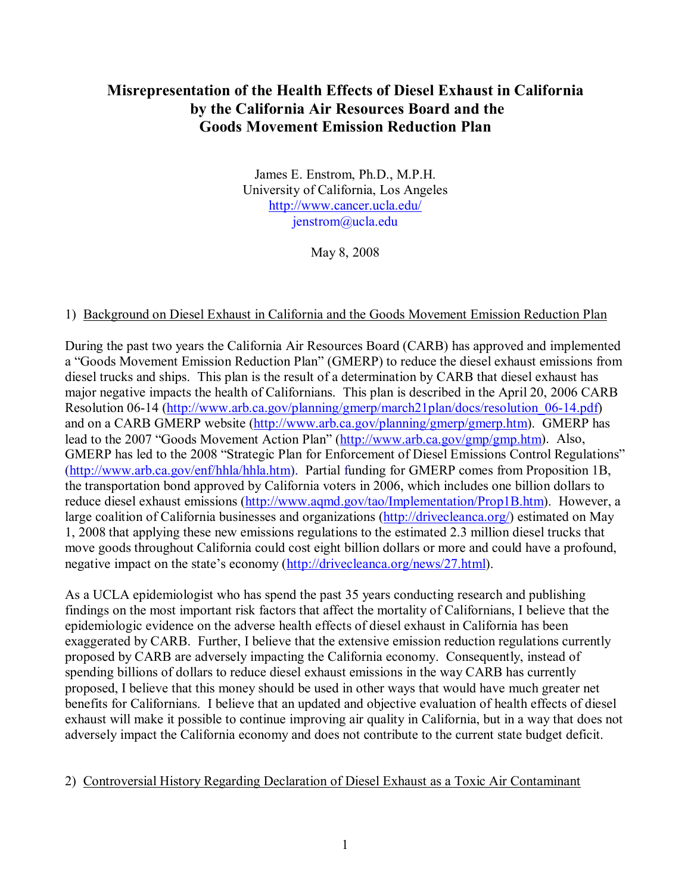# **Misrepresentation of the Health Effects of Diesel Exhaust in California by the California Air Resources Board and the Goods Movement Emission Reduction Plan**

James E. Enstrom, Ph.D., M.P.H. University of California, Los Angeles http://www.cancer.ucla.edu/ jenstrom@ucla.edu

May 8, 2008

#### 1) Background on Diesel Exhaust in California and the Goods Movement Emission Reduction Plan

During the past two years the California Air Resources Board (CARB) has approved and implemented a "Goods Movement Emission Reduction Plan" (GMERP) to reduce the diesel exhaust emissions from diesel trucks and ships. This plan is the result of a determination by CARB that diesel exhaust has major negative impacts the health of Californians. This plan is described in the April 20, 2006 CARB Resolution 06-14 (http://www.arb.ca.gov/planning/gmerp/march21plan/docs/resolution 06-14.pdf) and on a CARB GMERP website (http://www.arb.ca.gov/planning/gmerp/gmerp.htm). GMERP has lead to the 2007 "Goods Movement Action Plan" (http://www.arb.ca.gov/gmp/gmp.htm). Also, GMERP has led to the 2008 "Strategic Plan for Enforcement of Diesel Emissions Control Regulations" (http://www.arb.ca.gov/enf/hhla/hhla.htm). Partial funding for GMERP comes from Proposition 1B. the transportation bond approved by California voters in 2006, which includes one billion dollars to reduce diesel exhaust emissions (http://www.aqmd.gov/tao/Implementation/Prop1B.htm). However, a large coalition of California businesses and organizations (http://drivecleanca.org/) estimated on May 1, 2008 that applying these new emissions regulations to the estimated 2.3 million diesel trucks that move goods throughout California could cost eight billion dollars or more and could have a profound, negative impact on the state's economy (http://drivecleanca.org/news/27.html).

As a UCLA epidemiologist who has spend the past 35 years conducting research and publishing findings on the most important risk factors that affect the mortality of Californians, I believe that the epidemiologic evidence on the adverse health effects of diesel exhaust in California has been exaggerated by CARB. Further, I believe that the extensive emission reduction regulations currently proposed by CARB are adversely impacting the California economy. Consequently, instead of spending billions of dollars to reduce diesel exhaust emissions in the way CARB has currently proposed, I believe that this money should be used in other ways that would have much greater net benefits for Californians. I believe that an updated and objective evaluation of health effects of diesel exhaust will make it possible to continue improving air quality in California, but in a way that does not adversely impact the California economy and does not contribute to the current state budget deficit.

#### 2) Controversial History Regarding Declaration of Diesel Exhaust as a Toxic Air Contaminant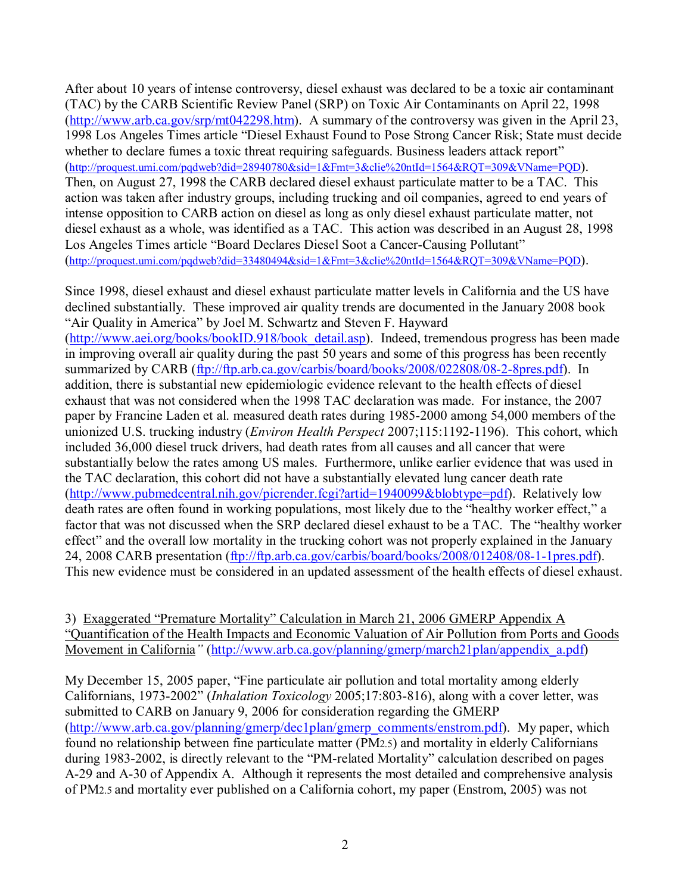After about 10 years of intense controversy, diesel exhaust was declared to be a toxic air contaminant (TAC) by the CARB Scientific Review Panel (SRP) on Toxic Air Contaminants on April 22, 1998 (http://www.arb.ca.gov/srp/mt042298.htm). A summary of the controversy was given in the April 23, 1998 Los Angeles Times article "Diesel Exhaust Found to Pose Strong Cancer Risk; State must decide whether to declare fumes a toxic threat requiring safeguards. Business leaders attack report" (http://proquest.umi.com/pqdweb?did=28940780&sid=1&Fmt=3&clie%20ntId=1564&RQT=309&VName=PQD). Then, on August 27, 1998 the CARB declared diesel exhaust particulate matter to be a TAC. This action was taken after industry groups, including trucking and oil companies, agreed to end years of intense opposition to CARB action on diesel as long as only diesel exhaust particulate matter, not diesel exhaust as a whole, was identified as a TAC. This action was described in an August 28, 1998 Los Angeles Times article "Board Declares Diesel Soot a Cancer-Causing Pollutant" (http://proquest.umi.com/pqdweb?did=33480494&sid=1&Fmt=3&clie%20ntId=1564&RQT=309&VName=PQD).

Since 1998, diesel exhaust and diesel exhaust particulate matter levels in California and the US have declined substantially. These improved air quality trends are documented in the January 2008 book "Air Quality in America" by Joel M. Schwartz and Steven F. Hayward (http://www.aei.org/books/bookID.918/book\_detail.asp). Indeed, tremendous progress has been made in improving overall air quality during the past 50 years and some of this progress has been recently summarized by CARB (ftp://ftp.arb.ca.gov/carbis/board/books/2008/022808/08-2-8pres.pdf). In addition, there is substantial new epidemiologic evidence relevant to the health effects of diesel exhaust that was not considered when the 1998 TAC declaration was made. For instance, the 2007 paper by Francine Laden et al. measured death rates during 1985-2000 among 54,000 members of the unionized U.S. trucking industry (*Environ Health Perspect* 2007;115:1192-1196). This cohort, which included 36,000 diesel truck drivers, had death rates from all causes and all cancer that were substantially below the rates among US males. Furthermore, unlike earlier evidence that was used in the TAC declaration, this cohort did not have a substantially elevated lung cancer death rate (http://www.pubmedcentral.nih.gov/picrender.fcgi?artid=1940099&blobtype=pdf). Relatively low death rates are often found in working populations, most likely due to the "healthy worker effect," a factor that was not discussed when the SRP declared diesel exhaust to be a TAC. The "healthy worker effect" and the overall low mortality in the trucking cohort was not properly explained in the January 24, 2008 CARB presentation (ftp://ftp.arb.ca.gov/carbis/board/books/2008/012408/08-1-1pres.pdf). This new evidence must be considered in an updated assessment of the health effects of diesel exhaust.

3) Exaggerated "Premature Mortality" Calculation in March 21, 2006 GMERP Appendix A "Quantification of the Health Impacts and Economic Valuation of Air Pollution from Ports and Goods Movement in California*"* (http://www.arb.ca.gov/planning/gmerp/march21plan/appendix\_a.pdf)

My December 15, 2005 paper, "Fine particulate air pollution and total mortality among elderly Californians, 1973-2002" (*Inhalation Toxicology* 2005;17:803-816), along with a cover letter, was submitted to CARB on January 9, 2006 for consideration regarding the GMERP (http://www.arb.ca.gov/planning/gmerp/dec1plan/gmerp\_comments/enstrom.pdf). My paper, which found no relationship between fine particulate matter (PM2.5) and mortality in elderly Californians during 1983-2002, is directly relevant to the "PM-related Mortality" calculation described on pages A-29 and A-30 of Appendix A. Although it represents the most detailed and comprehensive analysis of PM2.5 and mortality ever published on a California cohort, my paper (Enstrom, 2005) was not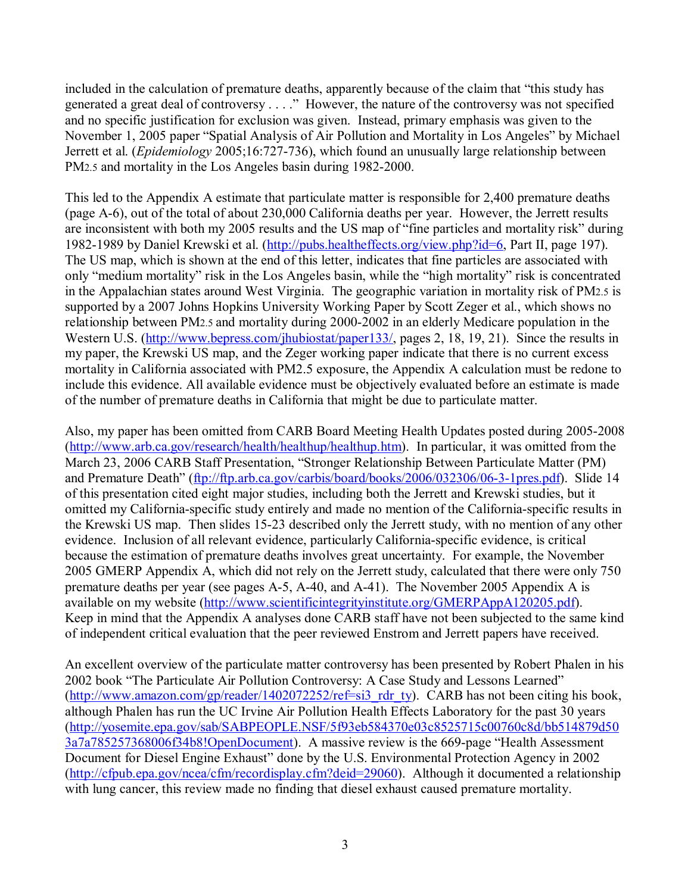included in the calculation of premature deaths, apparently because of the claim that "this study has generated a great deal of controversy . . . ." However, the nature of the controversy was not specified and no specific justification for exclusion was given. Instead, primary emphasis was given to the November 1, 2005 paper "Spatial Analysis of Air Pollution and Mortality in Los Angeles" by Michael Jerrett et al. (*Epidemiology* 2005;16:727-736), which found an unusually large relationship between PM2.5 and mortality in the Los Angeles basin during 1982-2000.

This led to the Appendix A estimate that particulate matter is responsible for 2,400 premature deaths (page A-6), out of the total of about 230,000 California deaths per year. However, the Jerrett results are inconsistent with both my 2005 results and the US map of "fine particles and mortality risk" during 1982-1989 by Daniel Krewski et al. (http://pubs.healtheffects.org/view.php?id=6, Part II, page 197). The US map, which is shown at the end of this letter, indicates that fine particles are associated with only "medium mortality" risk in the Los Angeles basin, while the "high mortality" risk is concentrated in the Appalachian states around West Virginia. The geographic variation in mortality risk of PM2.5 is supported by a 2007 Johns Hopkins University Working Paper by Scott Zeger et al., which shows no relationship between PM2.5 and mortality during 2000-2002 in an elderly Medicare population in the Western U.S. (http://www.bepress.com/jhubiostat/paper133/, pages 2, 18, 19, 21). Since the results in my paper, the Krewski US map, and the Zeger working paper indicate that there is no current excess mortality in California associated with PM2.5 exposure, the Appendix A calculation must be redone to include this evidence. All available evidence must be objectively evaluated before an estimate is made of the number of premature deaths in California that might be due to particulate matter.

Also, my paper has been omitted from CARB Board Meeting Health Updates posted during 2005-2008 (http://www.arb.ca.gov/research/health/healthup/healthup.htm). In particular, it was omitted from the March 23, 2006 CARB Staff Presentation, "Stronger Relationship Between Particulate Matter (PM) and Premature Death" (ftp://ftp.arb.ca.gov/carbis/board/books/2006/032306/06-3-1pres.pdf). Slide 14 of this presentation cited eight major studies, including both the Jerrett and Krewski studies, but it omitted my California-specific study entirely and made no mention of the California-specific results in the Krewski US map. Then slides 15-23 described only the Jerrett study, with no mention of any other evidence. Inclusion of all relevant evidence, particularly California-specific evidence, is critical because the estimation of premature deaths involves great uncertainty. For example, the November 2005 GMERP Appendix A, which did not rely on the Jerrett study, calculated that there were only 750 premature deaths per year (see pages A-5, A-40, and A-41). The November 2005 Appendix A is available on my website (http://www.scientificintegrityinstitute.org/GMERPAppA120205.pdf). Keep in mind that the Appendix A analyses done CARB staff have not been subjected to the same kind of independent critical evaluation that the peer reviewed Enstrom and Jerrett papers have received.

An excellent overview of the particulate matter controversy has been presented by Robert Phalen in his 2002 book "The Particulate Air Pollution Controversy: A Case Study and Lessons Learned" (http://www.amazon.com/gp/reader/1402072252/ref=si3\_rdr\_ty). CARB has not been citing his book, although Phalen has run the UC Irvine Air Pollution Health Effects Laboratory for the past 30 years (http://yosemite.epa.gov/sab/SABPEOPLE.NSF/5f93eb584370e03c8525715c00760c8d/bb514879d50 3a7a785257368006f34b8!OpenDocument). A massive review is the 669-page "Health Assessment Document for Diesel Engine Exhaust" done by the U.S. Environmental Protection Agency in 2002 (http://cfpub.epa.gov/ncea/cfm/recordisplay.cfm?deid=29060). Although it documented a relationship with lung cancer, this review made no finding that diesel exhaust caused premature mortality.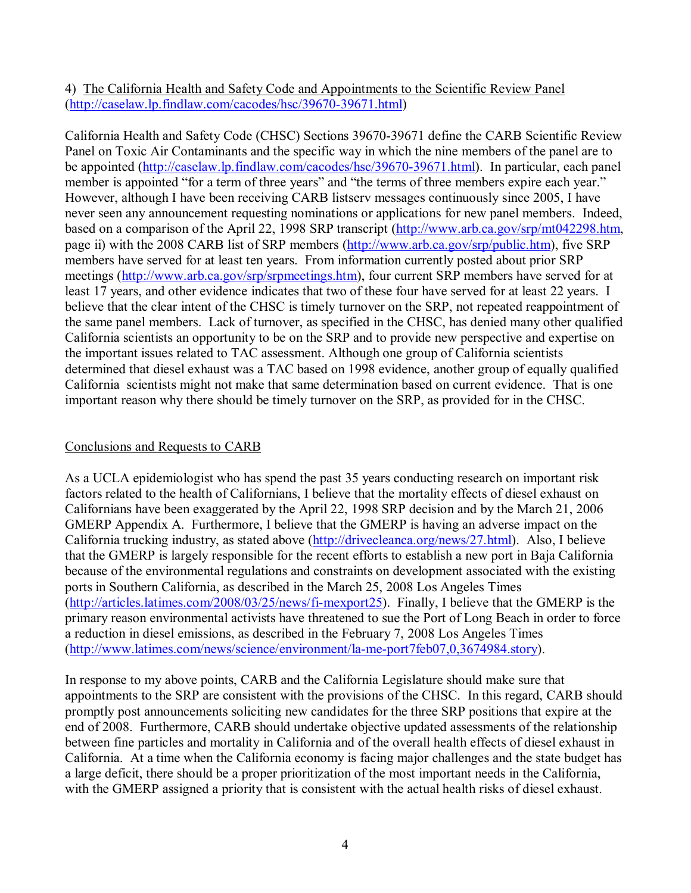4) The California Health and Safety Code and Appointments to the Scientific Review Panel (http://caselaw.lp.findlaw.com/cacodes/hsc/39670-39671.html)

California Health and Safety Code (CHSC) Sections 39670-39671 define the CARB Scientific Review Panel on Toxic Air Contaminants and the specific way in which the nine members of the panel are to be appointed (http://caselaw.lp.findlaw.com/cacodes/hsc/39670-39671.html). In particular, each panel member is appointed "for a term of three years" and "the terms of three members expire each year." However, although I have been receiving CARB listserv messages continuously since 2005, I have never seen any announcement requesting nominations or applications for new panel members. Indeed, based on a comparison of the April 22, 1998 SRP transcript (http://www.arb.ca.gov/srp/mt042298.htm, page ii) with the 2008 CARB list of SRP members (http://www.arb.ca.gov/srp/public.htm), five SRP members have served for at least ten years. From information currently posted about prior SRP meetings (http://www.arb.ca.gov/srp/srpmeetings.htm), four current SRP members have served for at least 17 years, and other evidence indicates that two of these four have served for at least 22 years. I believe that the clear intent of the CHSC is timely turnover on the SRP, not repeated reappointment of the same panel members. Lack of turnover, as specified in the CHSC, has denied many other qualified California scientists an opportunity to be on the SRP and to provide new perspective and expertise on the important issues related to TAC assessment. Although one group of California scientists determined that diesel exhaust was a TAC based on 1998 evidence, another group of equally qualified California scientists might not make that same determination based on current evidence. That is one important reason why there should be timely turnover on the SRP, as provided for in the CHSC.

#### Conclusions and Requests to CARB

As a UCLA epidemiologist who has spend the past 35 years conducting research on important risk factors related to the health of Californians, I believe that the mortality effects of diesel exhaust on Californians have been exaggerated by the April 22, 1998 SRP decision and by the March 21, 2006 GMERP Appendix A. Furthermore, I believe that the GMERP is having an adverse impact on the California trucking industry, as stated above (http://drivecleanca.org/news/27.html). Also, I believe that the GMERP is largely responsible for the recent efforts to establish a new port in Baja California because of the environmental regulations and constraints on development associated with the existing ports in Southern California, as described in the March 25, 2008 Los Angeles Times (http://articles.latimes.com/2008/03/25/news/fi-mexport25). Finally, I believe that the GMERP is the primary reason environmental activists have threatened to sue the Port of Long Beach in order to force a reduction in diesel emissions, as described in the February 7, 2008 Los Angeles Times (http://www.latimes.com/news/science/environment/la-me-port7feb07,0,3674984.story).

In response to my above points, CARB and the California Legislature should make sure that appointments to the SRP are consistent with the provisions of the CHSC. In this regard, CARB should promptly post announcements soliciting new candidates for the three SRP positions that expire at the end of 2008. Furthermore, CARB should undertake objective updated assessments of the relationship between fine particles and mortality in California and of the overall health effects of diesel exhaust in California. At a time when the California economy is facing major challenges and the state budget has a large deficit, there should be a proper prioritization of the most important needs in the California, with the GMERP assigned a priority that is consistent with the actual health risks of diesel exhaust.